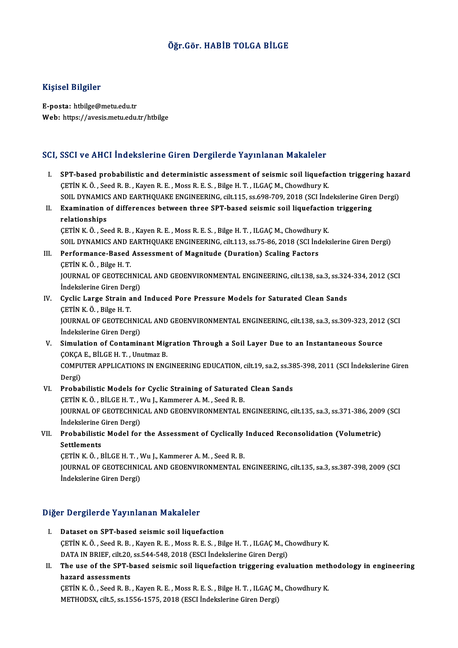### Öğr.Gör.HABİB TOLGA BİLGE

### Kişisel Bilgiler

E-posta: htbilge@metu.edu.tr Web: https://avesis.metu.edu.tr/htbilge

### SCI, SSCI ve AHCI İndekslerine Giren Dergilerde Yayınlanan Makaleler

- CI, SSCI ve AHCI İndekslerine Giren Dergilerde Yayınlanan Makaleler<br>I. SPT-based probabilistic and deterministic assessment of seismic soil liquefaction triggering hazard<br>CETIN K.Ö. Soed B.B. Kayar B.E. Moss B.E.S. Bilge H SOGI TO IINCI INCONSICITIVE CHEM DEI SI SIGNOI AU TRY INCHINAL PRINATORIA<br>CETIN K. Ö., Seed R. B., Kayen R. E., Moss R. E. S., Bilge H. T., ILGAÇ M., Chowdhury K.<br>SOU DYNAMICS AND FARTHOUAKE ENCINEERING silt 115, se 609,70 ÇETİN K. Ö. , Seed R. B. , Kayen R. E. , Moss R. E. S. , Bilge H. T. , ILGAÇ M., Chowdhury K.<br>SOIL DYNAMICS AND EARTHQUAKE ENGINEERING, cilt.115, ss.698-709, 2018 (SCI İndekslerine Giren Dergi) CETIN K. Ö., Seed R. B., Kayen R. E., Moss R. E. S., Bilge H. T., ILGAC M., Chowdhury K.<br>SOIL DYNAMICS AND EARTHQUAKE ENGINEERING, cilt.115, ss.698-709, 2018 (SCI Indekslerine Gire<br>II. Examination of differences between th
- SOIL DYNAMIC:<br>Examination<br>relationships<br>CETIN K Ö SO Examination of differences between three SPT-based seismic soil liquefactio<br>relationships<br>CETİN K.Ö., Seed R.B., Kayen R.E., Moss R.E.S., Bilge H.T., ILGAÇ M., Chowdhury K.<br>SOU, DVNAMICS AND FARTHOUAKE ENCINEERING silt 112

relationships<br>ÇETİN K. Ö. , Seed R. B. , Kayen R. E. , Moss R. E. S. , Bilge H. T. , ILGAÇ M., Chowdhury K.<br>SOIL DYNAMICS AND EARTHQUAKE ENGINEERING, cilt.113, ss.75-86, 2018 (SCI İndekslerine Giren Dergi)

- III. Performance-Based Assessment of Magnitude (Duration) Scaling Factors ÇETİNK.Ö. ,BilgeH.T. Performance-Based Assessment of Magnitude (Duration) Scaling Factors<br>ÇETİN K. Ö. , Bilge H. T.<br>JOURNAL OF GEOTECHNICAL AND GEOENVIRONMENTAL ENGINEERING, cilt.138, sa.3, ss.324-334, 2012 (SCI<br>İndekalerine Ciren Dergi) ÇETİN K. Ö. , Bilge H. T.<br>JOURNAL OF GEOTECHNIC<br>İndekslerine Giren Dergi)<br>Cyalis Large Strain and JOURNAL OF GEOTECHNICAL AND GEOENVIRONMENTAL ENGINEERING, cilt.138, sa.3, ss.32<br>
Indekslerine Giren Dergi)<br>
IV. Cyclic Large Strain and Induced Pore Pressure Models for Saturated Clean Sands<br>
CETIN K Ö, Bilge H T.
- İndekslerine Giren Der<br>Cyclic Large Strain a<br>ÇETİN K.Ö., Bilge H.T.<br>JOUPNAL OF CEOTECH Cyclic Large Strain and Induced Pore Pressure Models for Saturated Clean Sands<br>ÇETİN K. Ö. , Bilge H. T.<br>JOURNAL OF GEOTECHNICAL AND GEOENVIRONMENTAL ENGINEERING, cilt.138, sa.3, ss.309-323, 2012 (SCI ÇETİN K. Ö. , Bilge H. T.<br>JOURNAL OF GEOTECHNIC<br>İndekslerine Giren Dergi)<br>Simulation of Contamin JOURNAL OF GEOTECHNICAL AND GEOENVIRONMENTAL ENGINEERING, cilt.138, sa.3, ss.309-323, 2012<br>Indekslerine Giren Dergi)<br>V. Simulation of Contaminant Migration Through a Soil Layer Due to an Instantaneous Source<br>COKCA E. PU.CE
- İndekslerine Giren Dergi)<br>V. Simulation of Contaminant Migration Through a Soil Layer Due to an Instantaneous Source<br>COKÇA E., BİLGE H. T. , Unutmaz B. Simulation of Contaminant Migration Through a Soil Layer Due to an Instantaneous Source<br>ÇOKÇA E., BİLGE H. T. , Unutmaz B.<br>COMPUTER APPLICATIONS IN ENGINEERING EDUCATION, cilt.19, sa.2, ss.385-398, 2011 (SCI İndekslerine G COKCA<br>COMPU<br>Dergi)<br>Probel COMPUTER APPLICATIONS IN ENGINEERING EDUCATION, cilt.19, sa.2, ss.38<br>Dergi)<br>VI. Probabilistic Models for Cyclic Straining of Saturated Clean Sands<br>CETIN K.Ö. PUCE H.T. WHA Kemmerer A.M. Seed B. B
- Dergi)<br>Probabilistic Models for Cyclic Straining of Saturated<br>CETİN K.Ö., BİLGE H. T., Wu J., Kammerer A. M., Seed R. B.<br>JOUPMAL OF CEOTECHNICAL AND CEOENWIRONMENTAL E VI. Probabilistic Models for Cyclic Straining of Saturated Clean Sands<br>CETIN K. Ö. , BILGE H. T. , Wu J., Kammerer A. M. , Seed R. B.<br>JOURNAL OF GEOTECHNICAL AND GEOENVIRONMENTAL ENGINEERING, cilt.135, sa.3, ss.371-386, 20 ÇETİN K. Ö. , BİLGE H. T. , V<br>JOURNAL OF GEOTECHNIC<br>İndekslerine Giren Dergi)<br>Probabilistis Modal far JOURNAL OF GEOTECHNICAL AND GEOENVIRONMENTAL ENGINEERING, cilt.135, sa.3, ss.371-386, 2009<br>Indekslerine Giren Dergi)<br>VII. Probabilistic Model for the Assessment of Cyclically Induced Reconsolidation (Volumetric)<br>Settlement
- Indekslerine Giren Dergi)<br>Probabilistic Model for the Assessment of Cyclically<br>Settlements<br>CETIN K. Ö., BILGE H. T., Wu J., Kammerer A. M., Seed R. B. Probabilistic Model for the Assessment of Cyclically<br>Settlements<br>ÇETİN K.Ö., BİLGE H. T., Wu J., Kammerer A. M., Seed R. B.<br>JOUPMAL OF CEOTECHNICAL AND CEOENWIRONMENTAL E

Settlements<br>ÇETİN K. Ö. , BİLGE H. T. , Wu J., Kammerer A. M. , Seed R. B.<br>JOURNAL OF GEOTECHNICAL AND GEOENVIRONMENTAL ENGINEERING, cilt.135, sa.3, ss.387-398, 2009 (SCI ÇETİN K. Ö. , BİLGE H. T. , V<br>JOURNAL OF GEOTECHNIC<br>İndekslerine Giren Dergi)

# İndekslerine Giren Dergi)<br>Diğer Dergilerde Yayınlanan Makaleler

- I. Dataset on SPT-based seismic soil liquefaction Porgressive Communism continues.<br>Dataset on SPT-based seismic soil liquefaction<br>CETİN K.Ö., Seed R.B., Kayen R.E., Moss R.E.S., Bilge H.T., ILGAÇ M., Chowdhury K. Dataset on SPT-based seismic soil liquefaction<br>ÇETİN K. Ö. , Seed R. B. , Kayen R. E. , Moss R. E. S. , Bilge H. T. , ILGAÇ M., C.<br>DATA IN BRIEF, cilt.20, ss.544-548, 2018 (ESCI İndekslerine Giren Dergi)<br>The use of the SPT DATA IN BRIEF, cilt 20, ss 544-548, 2018 (ESCI Indekslerine Giren Dergi)
- II. The use of the SPT-based seismic soil liquefaction triggering evaluation methodology in engineering hazard assessments The use of the SPT-based seismic soil liquefaction triggering evaluation meth<br>hazard assessments<br>ÇETİN K.Ö., Seed R.B., Kayen R.E., Moss R.E.S., Bilge H.T., ILGAÇ M., Chowdhury K.<br>METHODSY, silt 5, se 1556, 1575, 2019 (ESC hazard assessments<br>ÇETİN K. Ö. , Seed R. B. , Kayen R. E. , Moss R. E. S. , Bilge H. T. , ILGAÇ M<br>METHODSX, cilt.5, ss.1556-1575, 2018 (ESCI İndekslerine Giren Dergi)